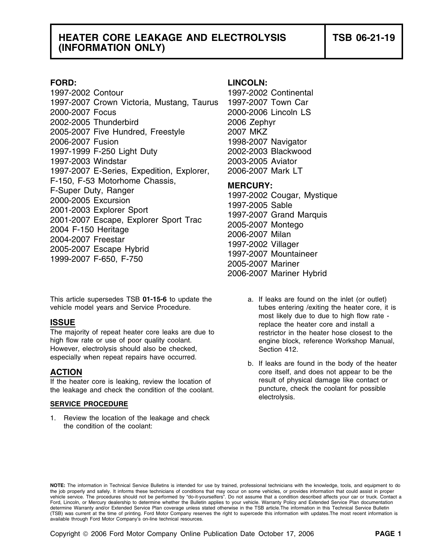## **HEATER CORE LEAKAGE AND ELECTROLYSIS TSB 06-21-19 (INFORMATION ONLY)**

1997-2002 Contour 1997-2002 Continental 1997-2007 Crown Victoria, Mustang, Taurus 1997-2007 Town Car 2000-2007 Focus 2000-2006 Lincoln LS 2002-2005 Thunderbird 2006 Zephyr 2005-2007 Five Hundred, Freestyle 2007 MKZ 2006-2007 Fusion 1998-2007 Navigator 1997-1999 F-250 Light Duty 2002-2003 Blackwood 1997-2003 Windstar 2003-2005 Aviator 1997-2007 E-Series, Expedition, Explorer, 2006-2007 Mark LT F-150, F-53 Motorhome Chassis,<br>
F-Super Duty, Ranger<br>
2000-2005 Excursion<br>
2001-2003 Explorer Sport<br>
2001-2007 Escape, Explorer Sport Trac<br>
2004-2007 Escape, Explorer Sport Trac<br>
2004-2007 Freestar<br>
2005-2007 Montego<br>
2005

This article supersedes TSB 01-15-6 to update the a. If leaks are found on the inlet (or outlet) vehicle model years and Service Procedure. The tubes entering /exiting the heater core, it is

The majority of repeat heater core leaks are due to restrictor in the heater hose closest to the high flow rate or use of poor quality coolant. engine block, reference Workshop Manual, However, electrolysis should also be checked, Section 412.

If the heater core is leaking, review the location of The Mass is a result of physical damage like contact or<br>
the leakage and check the condition of the coolant<br>
puncture, check the coolant for possible the leakage and check the condition of the coolant.

## **SERVICE PROCEDURE**

1. Review the location of the leakage and check the condition of the coolant:

## **FORD: LINCOLN:**

2006-2007 Mariner Hybrid

- most likely due to due to high flow rate -<br>**ISSUE** replace the heater core and install a
- especially when repeat repairs have occurred.<br>
b. If leaks are found in the body of the heater<br>
core itself, and does not appear to be the core itself, and does not appear to be the electrolysis.

**NOTE:** The information in Technical Service Bulletins is intended for use by trained, professional technicians with the knowledge, tools, and equipment to do the job properly and safely. It informs these technicians of conditions that may occur on some vehicles, or provides information that could assist in proper<br>vehicle service. The procedures should not be performed by "do-it Ford, Lincoln, or Mercury dealership to determine whether the Bulletin applies to your vehicle. Warranty Policy and Extended Service Plan documentation determine Warranty and/or Extended Service Plan coverage unless stated otherwise in the TSB article.The information in this Technical Service Bulletin (TSB) was current at the time of printing. Ford Motor Company reserves the right to supercede this information with updates.The most recent information is available through Ford Motor Company's on-line technical resources.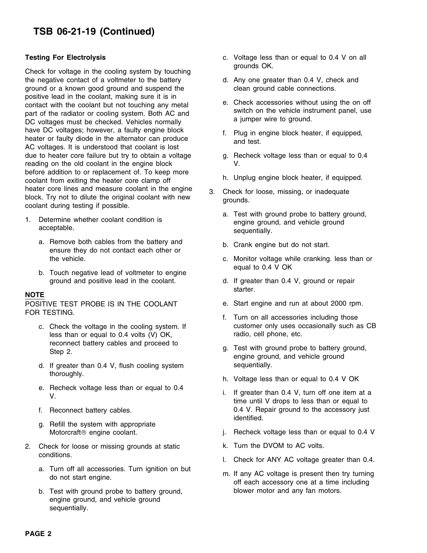# **TSB 06-21-19 (Continued)**

Gheck for voltage in the cooling system by touching<br>the negative contact of a voltmeter to the battery d. Any one greater than 0.4 V, check and the negative contact of a voltmeter to the battery ground or a known good ground and suspend the clean ground cable connections. positive lead in the coolant, making sure it is in contact with the coolant but not touching any metal<br>part of the radiator or cooling system. Both AC and<br>DC voltages must be checked. Vehicles normally and a jumper wire to ground. have DC voltages; however, a faulty engine block f. Plug in engine block heater, if equipped, heater or faulty diode in the alternator can produce and test. AC voltages. It is understood that coolant is lost due to heater core failure but try to obtain a voltage example. Recheck voltage less than or equal to 0.4 reading on the old coolant in the engine block V. before addition to or replacement of. To keep more<br>
coolant from exiting the heater core clamp off<br>
h. Unplug engine block heater, if equipped.<br>
heater core lines and measure coolant in the engine heater core lines and measure coolant in the engine and S. Check for loose, missing, or inadequate block. Try not to dilute the original coolant with new coolant during testing if possible.

- - a. Remove both cables from the battery and b. Crank engine but do not start. ensure they do not contact each other or
	- equal to 0.4 V OK b. Touch negative lead of voltmeter to engine ground and positive lead in the coolant. d. If greater than 0.4 V, ground or repair

## **NOTE**

FOR TESTING.

- less than or equal to 0.4 volts (V) OK, radio, cell phone, etc. reconnect battery cables and proceed to g. Test with ground probe to battery ground,<br>Step 2. engine ground, and vehicle ground
- d. If greater than 0.4 V, flush cooling system sequentially.
- e. Recheck voltage less than or equal to 0.4 i. If greater than 0.4 V, turn off one item at a<br>V. time until V drops to less than or equal to
- 
- g. Refill the system with appropriate
- 2. Check for loose or missing grounds at static **k.** Turn the DVOM to AC volts.
	- a. Turn off all accessories. Turn ignition on but m. If any AC voltage is present then try turning<br>do not start engine.<br>off each accessory one at a time including
	- b. Test with ground probe to battery ground, blower motor and any fan motors. engine ground, and vehicle ground sequentially.
- **Testing For Electrolysis** c. Voltage less than or equal to 0.4 V on all
	-
	-
	-
	-
	-
	-
- 1. Determine whether coolant condition is **a.** Test with ground probe to battery ground, and vehicle ground, acceptable.<br>acceptable. sequentially.
	-
	- the vehicle. c. Monitor voltage while cranking. less than or
		- starter.
- POSITIVE TEST PROBE IS IN THE COOLANT e. Start engine and run at about 2000 rpm.
	- c. Check the voltage in the cooling system. If customer only uses occasionally such as CB
		-
		- thoroughly. h. Voltage less than or equal to 0.4 V OK
	- f. Reconnect battery cables. 0.4 V. Repair ground to the accessory just identified.
		- Motorcraft<sup>®</sup> engine coolant.  $\qquad \qquad$  j. Recheck voltage less than or equal to 0.4 V
			-
	- conditions. Conditions. Conditions. Conditions.
		-